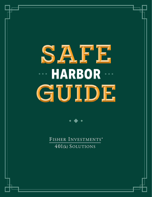# **HARBOR** SAFE GUIDE



FISHER INVESTMENTS® 401(k) SOLUTIONS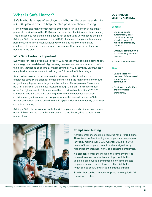## What is Safe Harbor?

## Safe Harbor is a type of employer contribution that can be added to a 401(k) plan in order to help the plan pass compliance testing.

Many owners and highly compensated employees aren't able to maximize their personal contribution to the 401(k) plan because the plan fails compliance testing. This is caused by rank and file employees not contributing very much to the plan. Adding a Safe Harbor provision to the 401(k) plan makes the plan automatically pass most compliance testing, allowing owners and highly compensated employees to maximize their personal contribution, thus maximizing their tax benefits in the plan.

## **Why Safe Harbor is Important**

Every dollar of income you save in your 401(k) reduces your taxable income today, and also grows tax-deferred. High earning business owners can reduce today's tax bill by thousands of dollars by maximizing their 401(k) savings. Unfortunately, many business owners are not realizing the full benefit of this strategy.

As a business owner, what you save for retirement is tied to what your employees save. Plans often fail compliance testing if the high earners contribute a significantly higher percentage than the rank and file employees. There must be a fair balance in the benefits received through the plan. This means that in order for high earners to fully maximize their individual contribution (\$20,500 if under 50 and \$27,000 if 50 or older), rank and file employees must also contribute a significant amount. For plans where this doesn't happen, a Safe Harbor component can be added to the 401(k) in order to automatically pass most compliance testing.

Adding a Safe Harbor component to the 401(k) plan allows business owners (and other high earners) to maximize their personal contribution, thus reducing their personal taxes.

#### **SAFE HARBOR BENEFITS AND RISKS**

#### **Benefits**

- *• Enables plans to automatically pass compliance testing, allowing owners to maximize their salary deferral*
- *• Employer contribution is a tax-reducing business expense*
- *• Offers flexible options*

#### Risks

- *• Can be expensive because of the required annual employer contribution*
- *• Employer contributions are fully vested immediately*



## **Compliance Testing**

Annual compliance testing is required for all 401(k) plans. These tests confirm that highly compensated employees (anybody making over \$135k/year for 2022, or a 5%+ owner of the company) do not receive a significantly higher benefit than non-highly compensated employees.

If a plan fails compliance testing, the company may be required to make nonelective employer contributions to eligible employees. Sometimes highly compensated employees may be subject to corrective distributions, which can be costly, and an administrative burden.

Safe Harbor can be a remedy for plans who regularly fail compliance testing.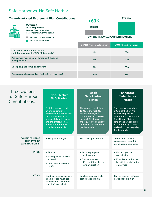## Safe Harbor vs. No Safe Harbor

## **Tax-Advantaged Retirement Plan Contributions +63K**



**Owners:** 3 **Total Employees:** 10 **Owner Goal:** Maximize Personal Plan Contributions

**WITHOUT SAFE HARBOR WITH SAFE HARBOR**

\$15,000

**OWNERS' PERSONAL PLAN CONTRIBUTIONS**

\$78,000

| WITH SAFE HARBUR                                                           |                                     |                                 |  |
|----------------------------------------------------------------------------|-------------------------------------|---------------------------------|--|
|                                                                            | <b>Before</b> (without Safe Harbor) | <b>After</b> (with Safe Harbor) |  |
| Can owners contribute maximum<br>contribution amount of \$27,000 annually? | <b>No</b>                           | <b>Yes</b>                      |  |
| Are owners making Safe Harbor contributions<br>to employees?               | <b>No</b>                           | <b>Yes</b>                      |  |
| Does plan pass compliance testing?                                         | <b>No</b>                           | <b>Yes</b>                      |  |
| Does plan make corrective distributions to owners?                         | <b>Yes</b>                          | <b>No</b>                       |  |

## Three Options for Safe Contribu

| Options<br>fe Harbor<br>butions:                                | <b>Non-Elective</b><br><b>Safe Harbor</b>                                                                                                                                                                       | <b>Basic</b><br><b>Safe Harbor</b><br><b>Match</b>                                                                                                                                                     | <b>Enhanced</b><br><b>Safe Harbor</b><br><b>Match</b>                                                                                                                                                                       |
|-----------------------------------------------------------------|-----------------------------------------------------------------------------------------------------------------------------------------------------------------------------------------------------------------|--------------------------------------------------------------------------------------------------------------------------------------------------------------------------------------------------------|-----------------------------------------------------------------------------------------------------------------------------------------------------------------------------------------------------------------------------|
|                                                                 | Eligible employees get<br>an annual employer<br>contribution of 3% of their<br>salary. This amount is<br>immediately fully vested<br>and the employee gets<br>it whether or not they<br>contribute to the plan. | The employer matches<br>100% of the first 3%<br>of each employee's<br>contribution and 50% of<br>the next 2%. Employees<br>are required to contribute<br>to their 401(k) in order to<br>get the match. | The employer matches<br>100% of the first 4%<br>of each employee's<br>contribution. Like a Basic<br>Safe Harbor Match,<br>employees are required<br>to defer money to their<br>401(k) in order to qualify<br>for the match. |
| <b>CONSIDER USING</b><br>THIS TYPE OF<br><b>SAFE HARBOR IF:</b> | Participation is high                                                                                                                                                                                           | Plan participation is low                                                                                                                                                                              | You want to provide<br>an enhanced benefit to<br>participating employees                                                                                                                                                    |
| <b>PROS:</b>                                                    | • Simple<br>• All employees receive<br>a benefit<br>• Contribution is limited<br>to 3%                                                                                                                          | • Encourages plan<br>participation<br>• Can be most cost-<br>effective if the plan has<br>low participation                                                                                            | • Encourages plan<br>participation<br>• Provides an enhanced<br>benefit to participating<br>employees                                                                                                                       |
| <b>CONS:</b>                                                    | Can be expensive because<br>all employees must get<br>contributions, even those<br>who don't participate                                                                                                        | Can be expensive if plan<br>participation is high                                                                                                                                                      | Can be expensive if plan<br>participation is high                                                                                                                                                                           |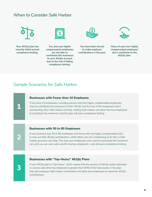## When to Consider Safe Harbor



**Your 401(k) plan has recently failed annual compliance testing.**

**3**

**2**

**1**



**You and your highly compensated employees are not able to contribute the maximum to your 401(k) account due to the risk of failing compliance testing.**



**You have been forced to make employer contributions in the past.**



**Many of your non-highly compensated employees don't contribute to the 401(k) plan.**

## Sample Scenarios for Safe Harbor

#### **Businesses with Fewer than 10 Employees**

If you have 10 employees, including owners and two highly compensated employees want to contribute the maximum to their 401(k), but the rest of the employees aren't contributing, then Safe Harbor will help. Adding Safe Harbor will allow the two employees to contribute the maximum and the plan will pass compliance testing.

#### **Businesses with 50 to 80 Employees**

If your business has 50 to 80 employees and those who are highly compensated want to max out their 401(k) contributions, while others are not contributing at all, then a Safe Harbor provision can help. This way your employees who want to contribute the maximum can, and you can even add a profit sharing component—and still pass compliance testing.

### **Businesses with "Top-Heavy" 401(k) Plans**

If your  $401(k)$  plan is "top heavy," which means that the portion of  $401(k)$  assets allocated to owners and other key employee is greater than 60% of the total assets in the plan, then the employer Safe Harbor contribution will allow key employees to maximize 401(k) contributions.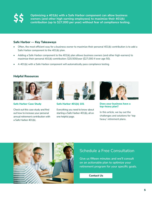**Optimizing a 401(k) with a Safe Harbor component can allow business owners (and other high earning employees) to maximize their 401(k) contribution (up to \$27,000 per year) without fear of compliance testing.**

### **Safe Harbor — Key Takeaways**

- Often, the most efficient way for a business owner to maximize their personal 401(k) contribution is to add a Safe Harbor component to the 401(k) plan.
- Adding a Safe Harbor component to the 401(k) plan allows business owners (and other high-earners) to maximize their personal 401(k) contribution: \$20,500/year (\$27,000 if over age 50).
- A 401(k) with a Safe Harbor component will automatically pass compliance testing

## **Helpful Resources**



**[Safe Harbor Case Study](https://www.fisher401k.com/sites/default/files/media_library/pdf/SafeHarbor_CaseStudy%20LCD%20Approved%20June%2028%202021.pdf)**

Check out this case study and find out how to increase your personal annual retirement contribution with a Safe Harbor 401(k).



**[Safe Harbor 401\(k\) 101](https://www.fisher401k.com/plan-options/safe-harbor-plan)** 

Everything you need to know about starting a Safe Harbor 401(k), all on one helpful page.



**[Does your business have a](http://www.fisher401k.com/blog/adding-a-safe-harbor)  [top-heavy plan?](http://www.fisher401k.com/blog/adding-a-safe-harbor)** 

In this article, we lay out the challenges and solutions for 'top heavy' retirement plans.



## Schedule a Free Consultation

**Give us fifteen minutes and we'll consult on an actionable plan to optimize your retirement program for your specific goals.**

**Contact Us**